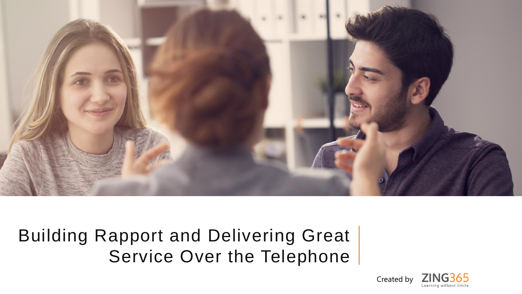

Building Rapport and Delivering Great Service Over the Telephone

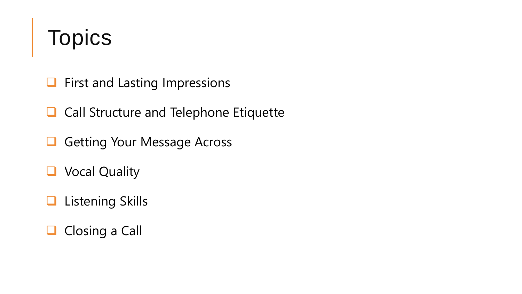### Topics

- ❑ First and Lasting Impressions
- ❑ Call Structure and Telephone Etiquette
- ❑ Getting Your Message Across
- ❑ Vocal Quality
- ❑ Listening Skills
- □ Closing a Call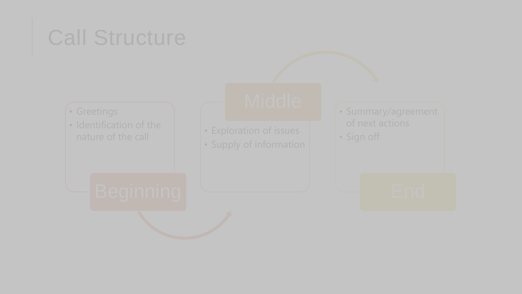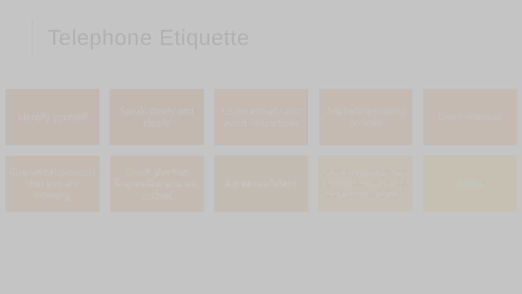### Telephone Etiquette

| Identify vourself                                         | Speak slowly and T<br>clearly                         | Listen actively and<br>avoid distractions | - Ask before placing -<br>on hold                                                     | Don't interrupt |
|-----------------------------------------------------------|-------------------------------------------------------|-------------------------------------------|---------------------------------------------------------------------------------------|-----------------|
| Tive verbal prompts f<br>that you are<br><b>Ilstening</b> | Don't give the<br><b>Impression vou are</b><br>rushed | - Adree next steps                        | l Take multiple numbers i<br>and get time options if<br><b>Preduired to call back</b> | Smile!          |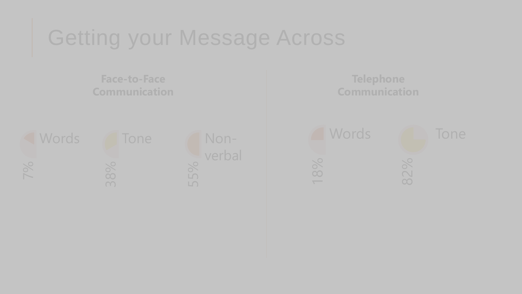### Getting your Message Across

**Communication**  7% **Words Tone** Nonverbal **Telephone Communication**  18% Words 82%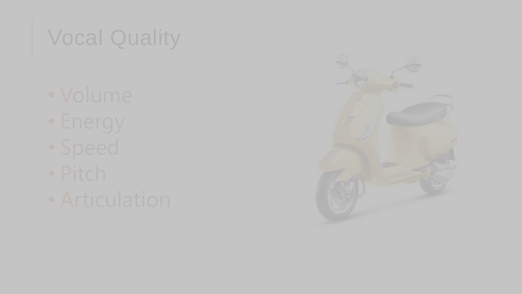# Vocal Quality

- 
- 
- 
- 
- 

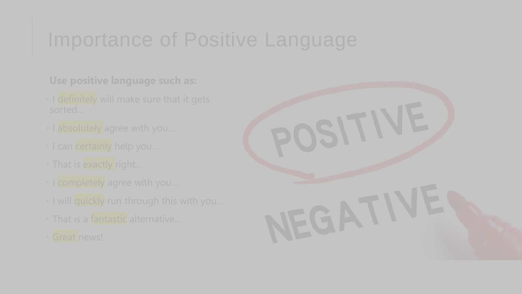### Importance of Positive Language

**Use positive language such as:** 

- 
- 
- 
- 
- 
- 
- 
- 

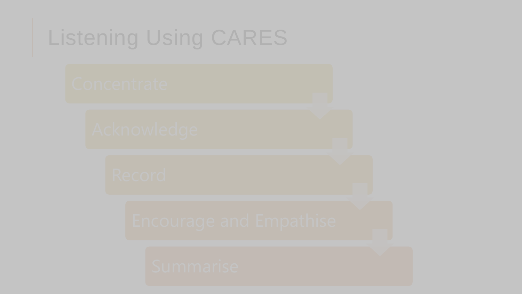## Listening Using CARES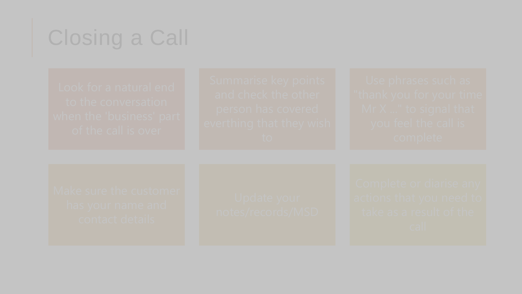## Closing a Call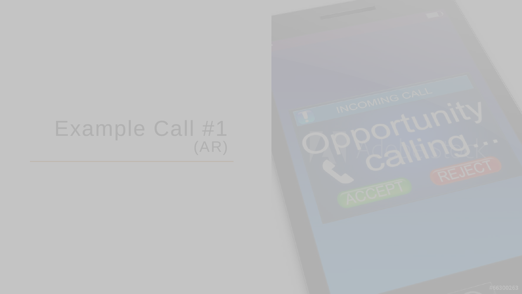#### Example Call #1 (AR)

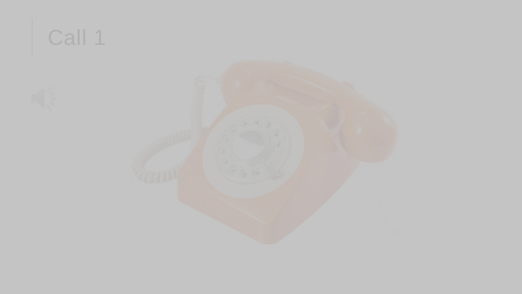# Call 1

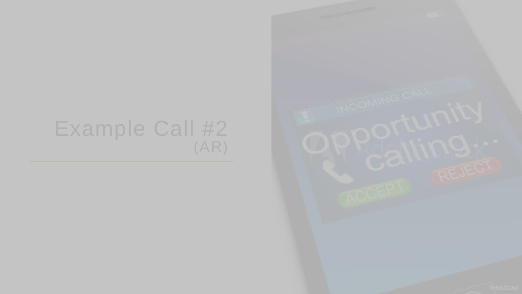#### Example Call #2 (AR)

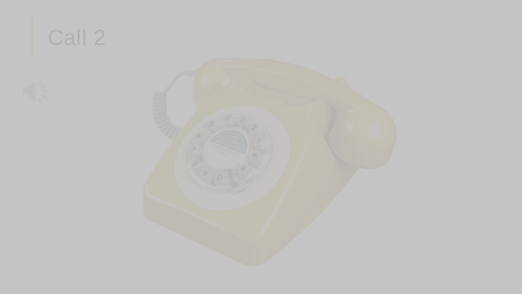# Call 2

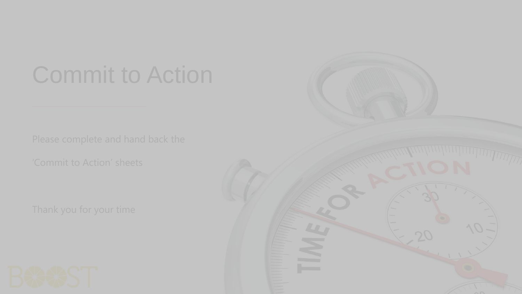# Commit to Action